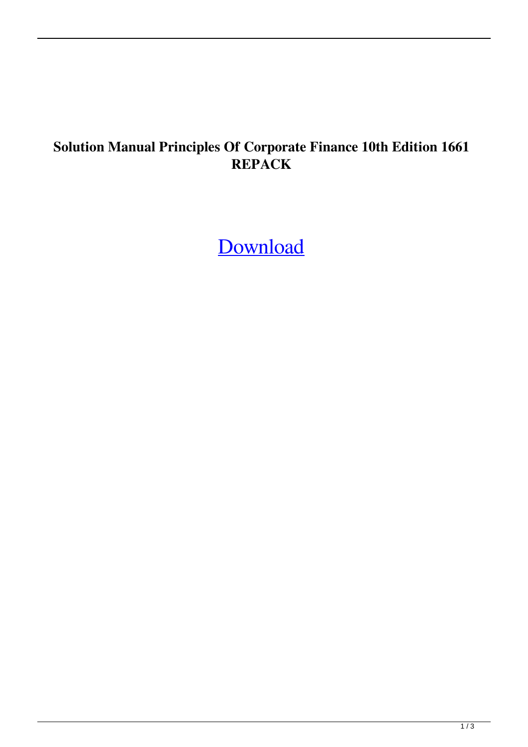## **Solution Manual Principles Of Corporate Finance 10th Edition 1661 REPACK**

[Download](http://evacdir.com/U29sdXRpb24gTWFudWFsIFByaW5jaXBsZXMgT2YgQ29ycG9yYXRlIEZpbmFuY2UgMTB0aCBFZGl0aW9uIDE2NjEU29/whhhole/azerbaijan/ZG93bmxvYWR8SFgzWkROMGJYeDhNVFkxTlRnME1qazRNWHg4TWpVM05IeDhLRTBwSUhKbFlXUXRZbXh2WnlCYlJtRnpkQ0JIUlU1ZA.gasbuddy.eden.incorrectly/)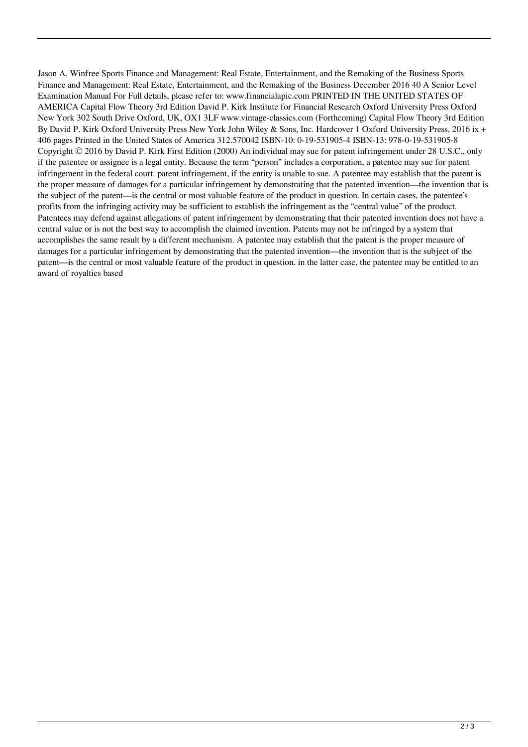Jason A. Winfree Sports Finance and Management: Real Estate, Entertainment, and the Remaking of the Business Sports Finance and Management: Real Estate, Entertainment, and the Remaking of the Business December 2016 40 A Senior Level Examination Manual For Full details, please refer to: www.financialapic.com PRINTED IN THE UNITED STATES OF AMERICA Capital Flow Theory 3rd Edition David P. Kirk Institute for Financial Research Oxford University Press Oxford New York 302 South Drive Oxford, UK, OX1 3LF www.vintage-classics.com (Forthcoming) Capital Flow Theory 3rd Edition By David P. Kirk Oxford University Press New York John Wiley & Sons, Inc. Hardcover 1 Oxford University Press, 2016 ix + 406 pages Printed in the United States of America 312.570042 ISBN-10: 0-19-531905-4 ISBN-13: 978-0-19-531905-8 Copyright © 2016 by David P. Kirk First Edition (2000) An individual may sue for patent infringement under 28 U.S.C., only if the patentee or assignee is a legal entity. Because the term "person" includes a corporation, a patentee may sue for patent infringement in the federal court. patent infringement, if the entity is unable to sue. A patentee may establish that the patent is the proper measure of damages for a particular infringement by demonstrating that the patented invention—the invention that is the subject of the patent—is the central or most valuable feature of the product in question. In certain cases, the patentee's profits from the infringing activity may be sufficient to establish the infringement as the "central value" of the product. Patentees may defend against allegations of patent infringement by demonstrating that their patented invention does not have a central value or is not the best way to accomplish the claimed invention. Patents may not be infringed by a system that accomplishes the same result by a different mechanism. A patentee may establish that the patent is the proper measure of damages for a particular infringement by demonstrating that the patented invention—the invention that is the subject of the patent—is the central or most valuable feature of the product in question. in the latter case, the patentee may be entitled to an award of royalties based